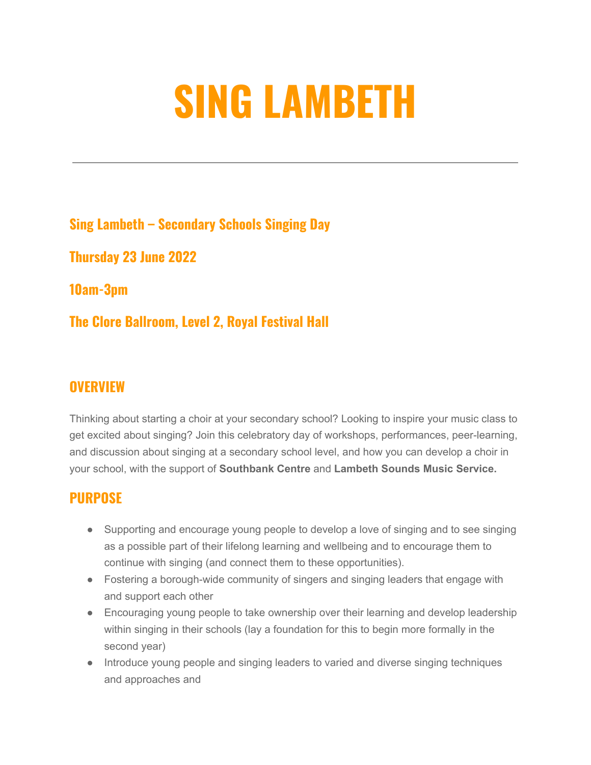## **SING LAMBETH**

**Sing Lambeth – Secondary Schools Singing Day**

**Thursday 23 June 2022**

**10am-3pm**

**The Clore Ballroom, Level 2, Royal Festival Hall**

## **OVERVIEW**

Thinking about starting a choir at your secondary school? Looking to inspire your music class to get excited about singing? Join this celebratory day of workshops, performances, peer-learning, and discussion about singing at a secondary school level, and how you can develop a choir in your school, with the support of **Southbank Centre** and **Lambeth Sounds Music Service.**

## **PURPOSE**

- Supporting and encourage young people to develop a love of singing and to see singing as a possible part of their lifelong learning and wellbeing and to encourage them to continue with singing (and connect them to these opportunities).
- Fostering a borough-wide community of singers and singing leaders that engage with and support each other
- Encouraging young people to take ownership over their learning and develop leadership within singing in their schools (lay a foundation for this to begin more formally in the second year)
- Introduce young people and singing leaders to varied and diverse singing techniques and approaches and